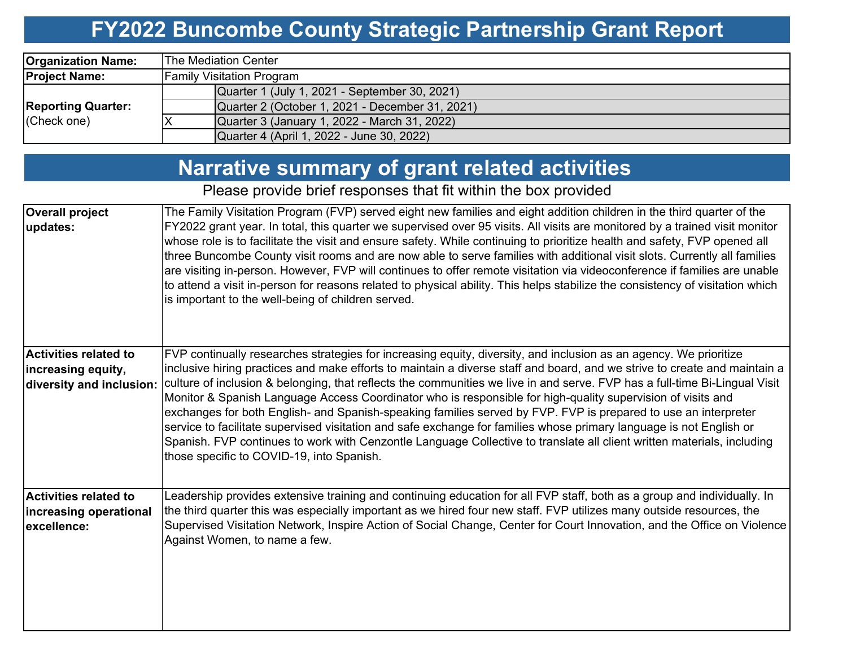#### **FY2022 Buncombe County Strategic Partnership Grant Report**

| <b>Organization Name:</b> | IThe Mediation Center_                          |  |  |  |  |  |  |  |
|---------------------------|-------------------------------------------------|--|--|--|--|--|--|--|
| <b>Project Name:</b>      | <b>Family Visitation Program</b>                |  |  |  |  |  |  |  |
|                           | Quarter 1 (July 1, 2021 - September 30, 2021)   |  |  |  |  |  |  |  |
| <b>Reporting Quarter:</b> | Quarter 2 (October 1, 2021 - December 31, 2021) |  |  |  |  |  |  |  |
| (Check one)               | Quarter 3 (January 1, 2022 - March 31, 2022)    |  |  |  |  |  |  |  |
|                           | Quarter 4 (April 1, 2022 - June 30, 2022)       |  |  |  |  |  |  |  |

## **Narrative summary of grant related activities**

#### Please provide brief responses that fit within the box provided

| <b>Overall project</b><br>updates:                                             | The Family Visitation Program (FVP) served eight new families and eight addition children in the third quarter of the<br>FY2022 grant year. In total, this quarter we supervised over 95 visits. All visits are monitored by a trained visit monitor<br>whose role is to facilitate the visit and ensure safety. While continuing to prioritize health and safety, FVP opened all<br>three Buncombe County visit rooms and are now able to serve families with additional visit slots. Currently all families<br>are visiting in-person. However, FVP will continues to offer remote visitation via videoconference if families are unable<br>to attend a visit in-person for reasons related to physical ability. This helps stabilize the consistency of visitation which<br>is important to the well-being of children served.                                                                           |
|--------------------------------------------------------------------------------|-------------------------------------------------------------------------------------------------------------------------------------------------------------------------------------------------------------------------------------------------------------------------------------------------------------------------------------------------------------------------------------------------------------------------------------------------------------------------------------------------------------------------------------------------------------------------------------------------------------------------------------------------------------------------------------------------------------------------------------------------------------------------------------------------------------------------------------------------------------------------------------------------------------|
| <b>Activities related to</b><br>increasing equity,<br>diversity and inclusion: | FVP continually researches strategies for increasing equity, diversity, and inclusion as an agency. We prioritize<br>inclusive hiring practices and make efforts to maintain a diverse staff and board, and we strive to create and maintain a<br>culture of inclusion & belonging, that reflects the communities we live in and serve. FVP has a full-time Bi-Lingual Visit<br>Monitor & Spanish Language Access Coordinator who is responsible for high-quality supervision of visits and<br>exchanges for both English- and Spanish-speaking families served by FVP. FVP is prepared to use an interpreter<br>service to facilitate supervised visitation and safe exchange for families whose primary language is not English or<br>Spanish. FVP continues to work with Cenzontle Language Collective to translate all client written materials, including<br>those specific to COVID-19, into Spanish. |
| <b>Activities related to</b><br>increasing operational<br>excellence:          | Leadership provides extensive training and continuing education for all FVP staff, both as a group and individually. In<br>the third quarter this was especially important as we hired four new staff. FVP utilizes many outside resources, the<br>Supervised Visitation Network, Inspire Action of Social Change, Center for Court Innovation, and the Office on Violence<br>Against Women, to name a few.                                                                                                                                                                                                                                                                                                                                                                                                                                                                                                 |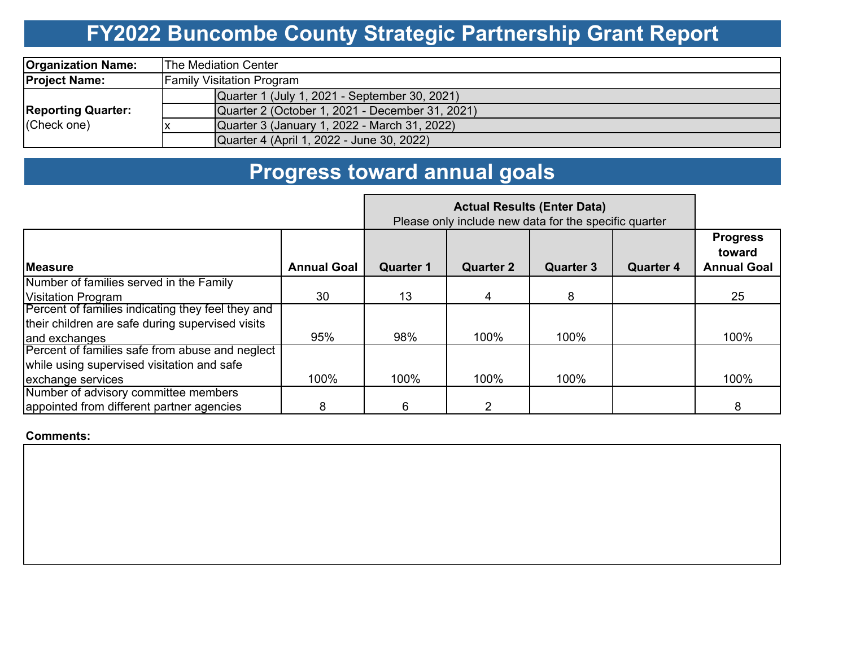# **FY2022 Buncombe County Strategic Partnership Grant Report**

| <b>Organization Name:</b>                | <b>The Mediation Center</b>                     |  |  |  |  |  |  |  |
|------------------------------------------|-------------------------------------------------|--|--|--|--|--|--|--|
| <b>Project Name:</b>                     | <b>Family Visitation Program</b>                |  |  |  |  |  |  |  |
| <b>Reporting Quarter:</b><br>(Check one) | Quarter 1 (July 1, 2021 - September 30, 2021)   |  |  |  |  |  |  |  |
|                                          | Quarter 2 (October 1, 2021 - December 31, 2021) |  |  |  |  |  |  |  |
|                                          | Quarter 3 (January 1, 2022 - March 31, 2022)    |  |  |  |  |  |  |  |
|                                          | Quarter 4 (April 1, 2022 - June 30, 2022)       |  |  |  |  |  |  |  |

# **Progress toward annual goals**

|                                                   | Please only include new data for the specific quarter |                  |                  |                  |                  |                                                 |
|---------------------------------------------------|-------------------------------------------------------|------------------|------------------|------------------|------------------|-------------------------------------------------|
| <b>IMeasure</b>                                   | <b>Annual Goal</b>                                    | <b>Quarter 1</b> | <b>Quarter 2</b> | <b>Quarter 3</b> | <b>Quarter 4</b> | <b>Progress</b><br>toward<br><b>Annual Goal</b> |
| Number of families served in the Family           |                                                       |                  |                  |                  |                  |                                                 |
| <b>Visitation Program</b>                         | 30                                                    | 13               | 4                | 8                |                  | 25                                              |
| Percent of families indicating they feel they and |                                                       |                  |                  |                  |                  |                                                 |
| their children are safe during supervised visits  |                                                       |                  |                  |                  |                  |                                                 |
| and exchanges                                     | 95%                                                   | 98%              | 100%             | 100%             |                  | 100%                                            |
| Percent of families safe from abuse and neglect   |                                                       |                  |                  |                  |                  |                                                 |
| while using supervised visitation and safe        |                                                       |                  |                  |                  |                  |                                                 |
| exchange services                                 | 100%                                                  | 100%             | 100%             | 100%             |                  | 100%                                            |
| Number of advisory committee members              |                                                       |                  |                  |                  |                  |                                                 |
| appointed from different partner agencies<br>8    |                                                       | 6                |                  |                  |                  | 8                                               |

#### **Comments:**